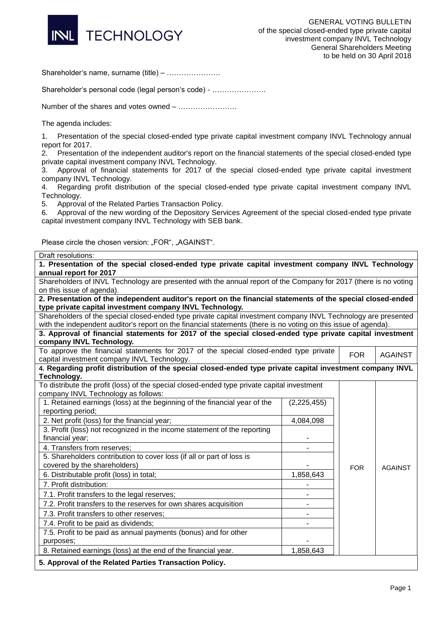

Shareholder's name, surname (title) – ………………….

Shareholder's personal code (legal person's code) - ………………….

Number of the shares and votes owned – ……………………

The agenda includes:

1. Presentation of the special closed-ended type private capital investment company INVL Technology annual report for 2017.

2. Presentation of the independent auditor's report on the financial statements of the special closed-ended type private capital investment company INVL Technology.

3. Approval of financial statements for 2017 of the special closed-ended type private capital investment company INVL Technology.

4. Regarding profit distribution of the special closed-ended type private capital investment company INVL Technology.

5. Approval of the Related Parties Transaction Policy.

6. Approval of the new wording of the Depository Services Agreement of the special closed-ended type private capital investment company INVL Technology with SEB bank.

Please circle the chosen version: "FOR", "AGAINST".

| Draft resolutions:                                                                                                                   |             |            |                |  |  |
|--------------------------------------------------------------------------------------------------------------------------------------|-------------|------------|----------------|--|--|
| 1. Presentation of the special closed-ended type private capital investment company INVL Technology<br>annual report for 2017        |             |            |                |  |  |
| Shareholders of INVL Technology are presented with the annual report of the Company for 2017 (there is no voting                     |             |            |                |  |  |
| on this issue of agenda).                                                                                                            |             |            |                |  |  |
| 2. Presentation of the independent auditor's report on the financial statements of the special closed-ended                          |             |            |                |  |  |
| type private capital investment company INVL Technology.                                                                             |             |            |                |  |  |
| Shareholders of the special closed-ended type private capital investment company INVL Technology are presented                       |             |            |                |  |  |
| with the independent auditor's report on the financial statements (there is no voting on this issue of agenda).                      |             |            |                |  |  |
| 3. Approval of financial statements for 2017 of the special closed-ended type private capital investment<br>company INVL Technology. |             |            |                |  |  |
| To approve the financial statements for 2017 of the special closed-ended type private                                                |             |            |                |  |  |
| capital investment company INVL Technology.                                                                                          |             | <b>FOR</b> | <b>AGAINST</b> |  |  |
| 4. Regarding profit distribution of the special closed-ended type private capital investment company INVL                            |             |            |                |  |  |
| Technology.                                                                                                                          |             |            |                |  |  |
| To distribute the profit (loss) of the special closed-ended type private capital investment                                          |             |            |                |  |  |
| company INVL Technology as follows:                                                                                                  |             |            |                |  |  |
| 1. Retained earnings (loss) at the beginning of the financial year of the                                                            | (2,225,455) |            |                |  |  |
| reporting period;                                                                                                                    |             |            |                |  |  |
| 2. Net profit (loss) for the financial year;                                                                                         | 4,084,098   |            |                |  |  |
| 3. Profit (loss) not recognized in the income statement of the reporting                                                             |             |            |                |  |  |
| financial year;                                                                                                                      |             |            |                |  |  |
| 4. Transfers from reserves;                                                                                                          |             |            |                |  |  |
| 5. Shareholders contribution to cover loss (if all or part of loss is                                                                |             |            |                |  |  |
| covered by the shareholders)                                                                                                         |             | <b>FOR</b> | <b>AGAINST</b> |  |  |
| 6. Distributable profit (loss) in total;                                                                                             | 1,858,643   |            |                |  |  |
| 7. Profit distribution:                                                                                                              |             |            |                |  |  |
| 7.1. Profit transfers to the legal reserves;                                                                                         |             |            |                |  |  |
| 7.2. Profit transfers to the reserves for own shares acquisition                                                                     |             |            |                |  |  |
| 7.3. Profit transfers to other reserves;                                                                                             |             |            |                |  |  |
| 7.4. Profit to be paid as dividends;                                                                                                 |             |            |                |  |  |
| 7.5. Profit to be paid as annual payments (bonus) and for other                                                                      |             |            |                |  |  |
| purposes;                                                                                                                            |             |            |                |  |  |
| 8. Retained earnings (loss) at the end of the financial year.                                                                        | 1,858,643   |            |                |  |  |
| 5. Approval of the Related Parties Transaction Policy.                                                                               |             |            |                |  |  |